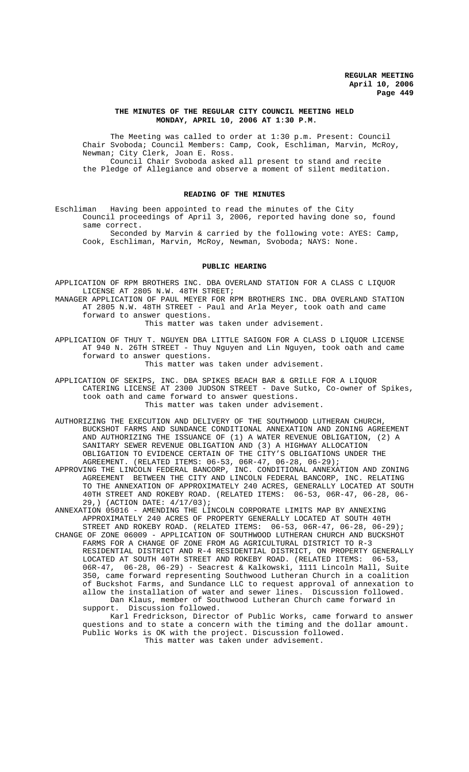## **THE MINUTES OF THE REGULAR CITY COUNCIL MEETING HELD MONDAY, APRIL 10, 2006 AT 1:30 P.M.**

The Meeting was called to order at 1:30 p.m. Present: Council Chair Svoboda; Council Members: Camp, Cook, Eschliman, Marvin, McRoy, Newman; City Clerk, Joan E. Ross. Council Chair Svoboda asked all present to stand and recite the Pledge of Allegiance and observe a moment of silent meditation.

## **READING OF THE MINUTES**

Eschliman Having been appointed to read the minutes of the City Council proceedings of April 3, 2006, reported having done so, found same correct.

Seconded by Marvin & carried by the following vote: AYES: Camp, Cook, Eschliman, Marvin, McRoy, Newman, Svoboda; NAYS: None.

#### **PUBLIC HEARING**

APPLICATION OF RPM BROTHERS INC. DBA OVERLAND STATION FOR A CLASS C LIQUOR LICENSE AT 2805 N.W. 48TH STREET;

MANAGER APPLICATION OF PAUL MEYER FOR RPM BROTHERS INC. DBA OVERLAND STATION AT 2805 N.W. 48TH STREET - Paul and Arla Meyer, took oath and came forward to answer questions.

This matter was taken under advisement.

APPLICATION OF THUY T. NGUYEN DBA LITTLE SAIGON FOR A CLASS D LIQUOR LICENSE AT 940 N. 26TH STREET - Thuy Nguyen and Lin Nguyen, took oath and came forward to answer questions.

This matter was taken under advisement.

APPLICATION OF SEKIPS, INC. DBA SPIKES BEACH BAR & GRILLE FOR A LIQUOR CATERING LICENSE AT 2300 JUDSON STREET - Dave Sutko, Co-owner of Spikes, took oath and came forward to answer questions. This matter was taken under advisement.

AUTHORIZING THE EXECUTION AND DELIVERY OF THE SOUTHWOOD LUTHERAN CHURCH, BUCKSHOT FARMS AND SUNDANCE CONDITIONAL ANNEXATION AND ZONING AGREEMENT AND AUTHORIZING THE ISSUANCE OF (1) A WATER REVENUE OBLIGATION, (2) A SANITARY SEWER REVENUE OBLIGATION AND (3) A HIGHWAY ALLOCATION OBLIGATION TO EVIDENCE CERTAIN OF THE CITY'S OBLIGATIONS UNDER THE AGREEMENT. (RELATED ITEMS: 06-53, 06R-47, 06-28, 06-29);

APPROVING THE LINCOLN FEDERAL BANCORP, INC. CONDITIONAL ANNEXATION AND ZONING AGREEMENT BETWEEN THE CITY AND LINCOLN FEDERAL BANCORP, INC. RELATING TO THE ANNEXATION OF APPROXIMATELY 240 ACRES, GENERALLY LOCATED AT SOUTH 40TH STREET AND ROKEBY ROAD. (RELATED ITEMS: 06-53, 06R-47, 06-28, 06- 29,) (ACTION DATE: 4/17/03);

ANNEXATION 05016 - AMENDING THE LINCOLN CORPORATE LIMITS MAP BY ANNEXING APPROXIMATELY 240 ACRES OF PROPERTY GENERALLY LOCATED AT SOUTH 40TH STREET AND ROKEBY ROAD. (RELATED ITEMS: 06-53, 06R-47, 06-28, 06-29);

CHANGE OF ZONE 06009 - APPLICATION OF SOUTHWOOD LUTHERAN CHURCH AND BUCKSHOT FARMS FOR A CHANGE OF ZONE FROM AG AGRICULTURAL DISTRICT TO R-3 RESIDENTIAL DISTRICT AND R-4 RESIDENTIAL DISTRICT, ON PROPERTY GENERALLY LOCATED AT SOUTH 40TH STREET AND ROKEBY ROAD. (RELATED ITEMS: 06-53, 06R-47, 06-28, 06-29) - Seacrest & Kalkowski, 1111 Lincoln Mall, Suite 350, came forward representing Southwood Lutheran Church in a coalition of Buckshot Farms, and Sundance LLC to request approval of annexation to allow the installation of water and sewer lines. Discussion followed. Dan Klaus, member of Southwood Lutheran Church came forward in support. Discussion followed.

Karl Fredrickson, Director of Public Works, came forward to answer questions and to state a concern with the timing and the dollar amount. Public Works is OK with the project. Discussion followed. This matter was taken under advisement.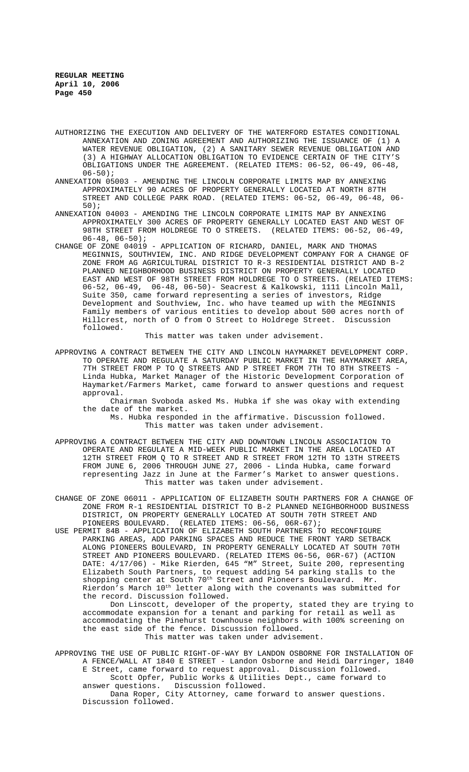- AUTHORIZING THE EXECUTION AND DELIVERY OF THE WATERFORD ESTATES CONDITIONAL ANNEXATION AND ZONING AGREEMENT AND AUTHORIZING THE ISSUANCE OF (1) A WATER REVENUE OBLIGATION, (2) A SANITARY SEWER REVENUE OBLIGATION AND (3) A HIGHWAY ALLOCATION OBLIGATION TO EVIDENCE CERTAIN OF THE CITY'S OBLIGATIONS UNDER THE AGREEMENT. (RELATED ITEMS: 06-52, 06-49, 06-48,  $06 - 50$ ;
- ANNEXATION 05003 AMENDING THE LINCOLN CORPORATE LIMITS MAP BY ANNEXING APPROXIMATELY 90 ACRES OF PROPERTY GENERALLY LOCATED AT NORTH 87TH STREET AND COLLEGE PARK ROAD. (RELATED ITEMS: 06-52, 06-49, 06-48, 06- 50);
- ANNEXATION 04003 AMENDING THE LINCOLN CORPORATE LIMITS MAP BY ANNEXING APPROXIMATELY 300 ACRES OF PROPERTY GENERALLY LOCATED EAST AND WEST OF 98TH STREET FROM HOLDREGE TO O STREETS. (RELATED ITEMS: 06-52, 06-49,  $06-48, 06-50$ ;
- CHANGE OF ZONE 04019 APPLICATION OF RICHARD, DANIEL, MARK AND THOMAS MEGINNIS, SOUTHVIEW, INC. AND RIDGE DEVELOPMENT COMPANY FOR A CHANGE OF ZONE FROM AG AGRICULTURAL DISTRICT TO R-3 RESIDENTIAL DISTRICT AND B-2 PLANNED NEIGHBORHOOD BUSINESS DISTRICT ON PROPERTY GENERALLY LOCATED EAST AND WEST OF 98TH STREET FROM HOLDREGE TO O STREETS. (RELATED ITEMS: 06-52, 06-49, 06-48, 06-50)- Seacrest & Kalkowski, 1111 Lincoln Mall, Suite 350, came forward representing a series of investors, Ridge Development and Southview, Inc. who have teamed up with the MEGINNIS Family members of various entities to develop about 500 acres north of Hillcrest, north of O from O Street to Holdrege Street. Discussion followed.

#### This matter was taken under advisement.

APPROVING A CONTRACT BETWEEN THE CITY AND LINCOLN HAYMARKET DEVELOPMENT CORP. TO OPERATE AND REGULATE A SATURDAY PUBLIC MARKET IN THE HAYMARKET AREA, 7TH STREET FROM P TO Q STREETS AND P STREET FROM 7TH TO 8TH STREETS - Linda Hubka, Market Manager of the Historic Development Corporation of Haymarket/Farmers Market, came forward to answer questions and request approval.

Chairman Svoboda asked Ms. Hubka if she was okay with extending the date of the market.

Ms. Hubka responded in the affirmative. Discussion followed. This matter was taken under advisement.

- APPROVING A CONTRACT BETWEEN THE CITY AND DOWNTOWN LINCOLN ASSOCIATION TO OPERATE AND REGULATE A MID-WEEK PUBLIC MARKET IN THE AREA LOCATED AT 12TH STREET FROM Q TO R STREET AND R STREET FROM 12TH TO 13TH STREETS FROM JUNE 6, 2006 THROUGH JUNE 27, 2006 - Linda Hubka, came forward representing Jazz in June at the Farmer's Market to answer questions. This matter was taken under advisement.
- CHANGE OF ZONE 06011 APPLICATION OF ELIZABETH SOUTH PARTNERS FOR A CHANGE OF ZONE FROM R-1 RESIDENTIAL DISTRICT TO B-2 PLANNED NEIGHBORHOOD BUSINESS DISTRICT, ON PROPERTY GENERALLY LOCATED AT SOUTH 70TH STREET AND PIONEERS BOULEVARD. (RELATED ITEMS: 06-56, 06R-67);
- USE PERMIT 84B APPLICATION OF ELIZABETH SOUTH PARTNERS TO RECONFIGURE PARKING AREAS, ADD PARKING SPACES AND REDUCE THE FRONT YARD SETBACK ALONG PIONEERS BOULEVARD, IN PROPERTY GENERALLY LOCATED AT SOUTH 70TH STREET AND PIONEERS BOULEVARD. (RELATED ITEMS 06-56, 06R-67) (ACTION DATE: 4/17/06) - Mike Rierden, 645 "M" Street, Suite 200, representing Elizabeth South Partners, to request adding 54 parking stalls to the shopping center at South 70<sup>th</sup> Street and Pioneers Boulevard. Mr. Rierdon's March 10<sup>th</sup> letter along with the covenants was submitted for the record. Discussion followed.

Don Linscott, developer of the property, stated they are trying to accommodate expansion for a tenant and parking for retail as well as accommodating the Pinehurst townhouse neighbors with 100% screening on the east side of the fence. Discussion followed. This matter was taken under advisement.

APPROVING THE USE OF PUBLIC RIGHT-OF-WAY BY LANDON OSBORNE FOR INSTALLATION OF A FENCE/WALL AT 1840 E STREET - Landon Osborne and Heidi Darringer, 1840 E Street, came forward to request approval. Discussion followed. Scott Opfer, Public Works & Utilities Dept., came forward to answer questions. Discussion followed.

Dana Roper, City Attorney, came forward to answer questions. Discussion followed.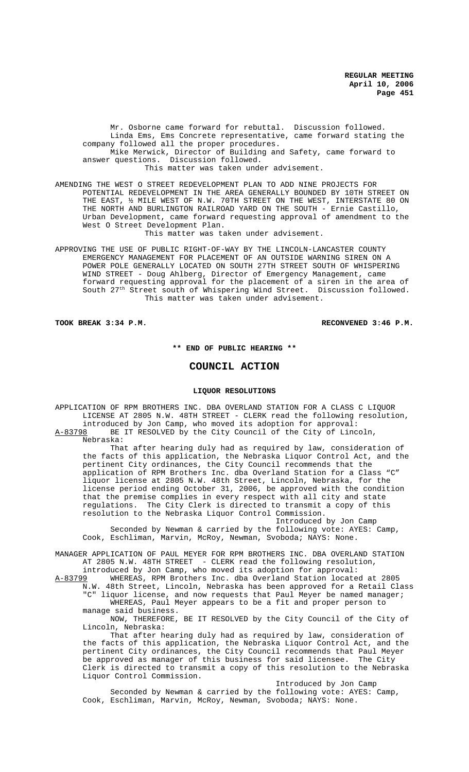Mr. Osborne came forward for rebuttal. Discussion followed. Linda Ems, Ems Concrete representative, came forward stating the company followed all the proper procedures. Mike Merwick, Director of Building and Safety, came forward to answer questions. Discussion followed. This matter was taken under advisement.

AMENDING THE WEST O STREET REDEVELOPMENT PLAN TO ADD NINE PROJECTS FOR POTENTIAL REDEVELOPMENT IN THE AREA GENERALLY BOUNDED BY 10TH STREET ON THE EAST, ½ MILE WEST OF N.W. 70TH STREET ON THE WEST, INTERSTATE 80 ON THE NORTH AND BURLINGTON RAILROAD YARD ON THE SOUTH - Ernie Castillo, Urban Development, came forward requesting approval of amendment to the West O Street Development Plan.

This matter was taken under advisement.

APPROVING THE USE OF PUBLIC RIGHT-OF-WAY BY THE LINCOLN-LANCASTER COUNTY EMERGENCY MANAGEMENT FOR PLACEMENT OF AN OUTSIDE WARNING SIREN ON A POWER POLE GENERALLY LOCATED ON SOUTH 27TH STREET SOUTH OF WHISPERING WIND STREET - Doug Ahlberg, Director of Emergency Management, came forward requesting approval for the placement of a siren in the area of South 27th Street south of Whispering Wind Street. Discussion followed. This matter was taken under advisement.

## **TOOK BREAK 3:34 P.M. RECONVENED 3:46 P.M.**

## **\*\* END OF PUBLIC HEARING \*\***

# **COUNCIL ACTION**

## **LIQUOR RESOLUTIONS**

APPLICATION OF RPM BROTHERS INC. DBA OVERLAND STATION FOR A CLASS C LIQUOR LICENSE AT 2805 N.W. 48TH STREET - CLERK read the following resolution, introduced by Jon Camp, who moved its adoption for approval: A-83798 BE IT RESOLVED by the City Council of the City of Lincoln, Nebraska:

That after hearing duly had as required by law, consideration of the facts of this application, the Nebraska Liquor Control Act, and the pertinent City ordinances, the City Council recommends that the application of RPM Brothers Inc. dba Overland Station for a Class "C" liquor license at 2805 N.W. 48th Street, Lincoln, Nebraska, for the license period ending October 31, 2006, be approved with the condition that the premise complies in every respect with all city and state regulations. The City Clerk is directed to transmit a copy of this resolution to the Nebraska Liquor Control Commission.

Introduced by Jon Camp Seconded by Newman & carried by the following vote: AYES: Camp, Cook, Eschliman, Marvin, McRoy, Newman, Svoboda; NAYS: None.

MANAGER APPLICATION OF PAUL MEYER FOR RPM BROTHERS INC. DBA OVERLAND STATION AT 2805 N.W. 48TH STREET - CLERK read the following resolution, introduced by Jon Camp, who moved its adoption for approval:

A-83799 WHEREAS, RPM Brothers Inc. dba Overland Station located at 2805<br>N.W. 48th Street, Lincoln, Nebraska has been approved for a Retail Cla 48th Street, Lincoln, Nebraska has been approved for a Retail Class "C" liquor license, and now requests that Paul Meyer be named manager;

WHEREAS, Paul Meyer appears to be a fit and proper person to manage said business.

NOW, THEREFORE, BE IT RESOLVED by the City Council of the City of Lincoln, Nebraska:

That after hearing duly had as required by law, consideration of the facts of this application, the Nebraska Liquor Control Act, and the pertinent City ordinances, the City Council recommends that Paul Meyer be approved as manager of this business for said licensee. The City Clerk is directed to transmit a copy of this resolution to the Nebraska Liquor Control Commission.

Introduced by Jon Camp

Seconded by Newman & carried by the following vote: AYES: Camp, Cook, Eschliman, Marvin, McRoy, Newman, Svoboda; NAYS: None.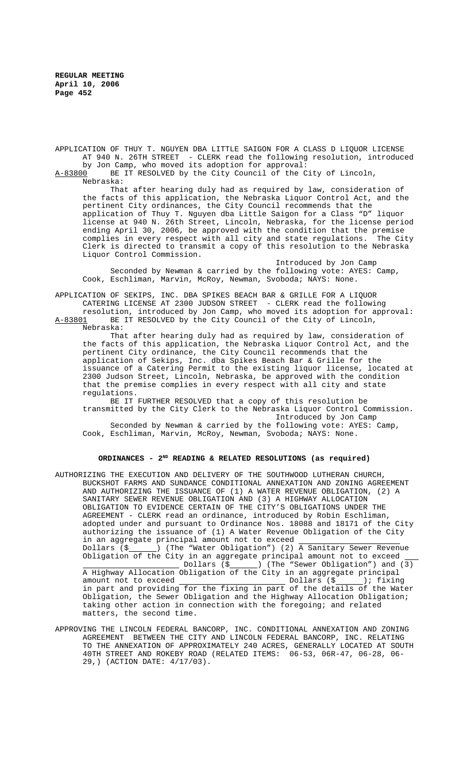APPLICATION OF THUY T. NGUYEN DBA LITTLE SAIGON FOR A CLASS D LIQUOR LICENSE AT 940 N. 26TH STREET - CLERK read the following resolution, introduced by Jon Camp, who moved its adoption for approval:<br>A-83800 BE IT RESOLVED by the City Council of the C

BE IT RESOLVED by the City Council of the City of Lincoln, Nebraska:

That after hearing duly had as required by law, consideration of the facts of this application, the Nebraska Liquor Control Act, and the pertinent City ordinances, the City Council recommends that the application of Thuy T. Nguyen dba Little Saigon for a Class "D" liquor license at 940 N. 26th Street, Lincoln, Nebraska, for the license period ending April 30, 2006, be approved with the condition that the premise complies in every respect with all city and state regulations. The City Clerk is directed to transmit a copy of this resolution to the Nebraska Liquor Control Commission.

Introduced by Jon Camp Seconded by Newman & carried by the following vote: AYES: Camp, Cook, Eschliman, Marvin, McRoy, Newman, Svoboda; NAYS: None.

APPLICATION OF SEKIPS, INC. DBA SPIKES BEACH BAR & GRILLE FOR A LIQUOR CATERING LICENSE AT 2300 JUDSON STREET - CLERK read the following resolution, introduced by Jon Camp, who moved its adoption for approval:<br>A-83801 BE IT RESOLVED by the City Council of the City of Lincoln,

BE IT RESOLVED by the City Council of the City of Lincoln, Nebraska:

That after hearing duly had as required by law, consideration of the facts of this application, the Nebraska Liquor Control Act, and the pertinent City ordinance, the City Council recommends that the application of Sekips, Inc. dba Spikes Beach Bar & Grille for the issuance of a Catering Permit to the existing liquor license, located at 2300 Judson Street, Lincoln, Nebraska, be approved with the condition that the premise complies in every respect with all city and state regulations.

BE IT FURTHER RESOLVED that a copy of this resolution be transmitted by the City Clerk to the Nebraska Liquor Control Commission. Introduced by Jon Camp

Seconded by Newman & carried by the following vote: AYES: Camp, Cook, Eschliman, Marvin, McRoy, Newman, Svoboda; NAYS: None.

## **ORDINANCES - 2ND READING & RELATED RESOLUTIONS (as required)**

- AUTHORIZING THE EXECUTION AND DELIVERY OF THE SOUTHWOOD LUTHERAN CHURCH, BUCKSHOT FARMS AND SUNDANCE CONDITIONAL ANNEXATION AND ZONING AGREEMENT AND AUTHORIZING THE ISSUANCE OF (1) A WATER REVENUE OBLIGATION, (2) A SANITARY SEWER REVENUE OBLIGATION AND (3) A HIGHWAY ALLOCATION OBLIGATION TO EVIDENCE CERTAIN OF THE CITY'S OBLIGATIONS UNDER THE AGREEMENT - CLERK read an ordinance, introduced by Robin Eschliman, adopted under and pursuant to Ordinance Nos. 18088 and 18171 of the City authorizing the issuance of (1) A Water Revenue Obligation of the City in an aggregate principal amount not to exceed<br>Dollars (\$) (The "Water Obligation") (2) ) (The "Water Obligation") (2)  $\overline{A}$  Sanitary Sewer Revenue Obligation of the City in an aggregate principal amount not to exceed Dollars (\$ ) (The "Sewer Obligation") and (3) A Highway Allocation Obligation of the City in an aggregate principal amount not to exceed Dollars (\$ ); fixing in part and providing for the fixing in part of the details of the Water Obligation, the Sewer Obligation and the Highway Allocation Obligation; taking other action in connection with the foregoing; and related matters, the second time.
- APPROVING THE LINCOLN FEDERAL BANCORP, INC. CONDITIONAL ANNEXATION AND ZONING AGREEMENT BETWEEN THE CITY AND LINCOLN FEDERAL BANCORP, INC. RELATING TO THE ANNEXATION OF APPROXIMATELY 240 ACRES, GENERALLY LOCATED AT SOUTH 40TH STREET AND ROKEBY ROAD (RELATED ITEMS: 06-53, 06R-47, 06-28, 06- 29,) (ACTION DATE: 4/17/03).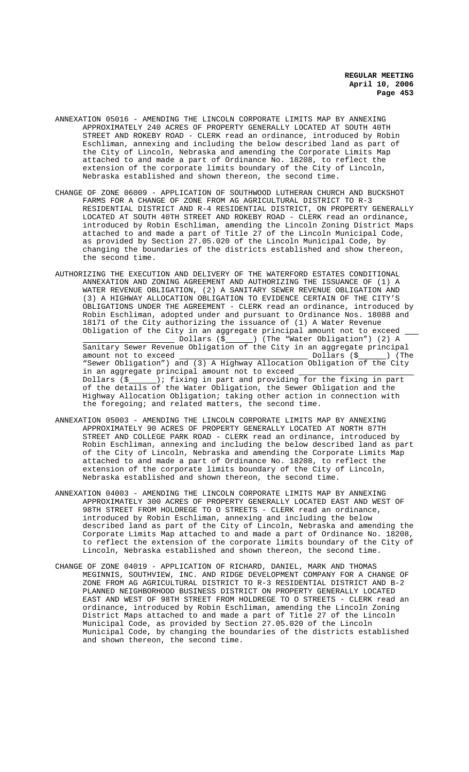- ANNEXATION 05016 AMENDING THE LINCOLN CORPORATE LIMITS MAP BY ANNEXING APPROXIMATELY 240 ACRES OF PROPERTY GENERALLY LOCATED AT SOUTH 40TH STREET AND ROKEBY ROAD - CLERK read an ordinance, introduced by Robin Eschliman, annexing and including the below described land as part of the City of Lincoln, Nebraska and amending the Corporate Limits Map attached to and made a part of Ordinance No. 18208, to reflect the extension of the corporate limits boundary of the City of Lincoln, Nebraska established and shown thereon, the second time.
- CHANGE OF ZONE 06009 APPLICATION OF SOUTHWOOD LUTHERAN CHURCH AND BUCKSHOT FARMS FOR A CHANGE OF ZONE FROM AG AGRICULTURAL DISTRICT TO R-3 RESIDENTIAL DISTRICT AND R-4 RESIDENTIAL DISTRICT, ON PROPERTY GENERALLY LOCATED AT SOUTH 40TH STREET AND ROKEBY ROAD - CLERK read an ordinance, introduced by Robin Eschliman, amending the Lincoln Zoning District Maps attached to and made a part of Title 27 of the Lincoln Municipal Code, as provided by Section 27.05.020 of the Lincoln Municipal Code, by changing the boundaries of the districts established and show thereon, the second time.
- AUTHORIZING THE EXECUTION AND DELIVERY OF THE WATERFORD ESTATES CONDITIONAL ANNEXATION AND ZONING AGREEMENT AND AUTHORIZING THE ISSUANCE OF (1) A WATER REVENUE OBLIGATION, (2) A SANITARY SEWER REVENUE OBLIGATION AND (3) A HIGHWAY ALLOCATION OBLIGATION TO EVIDENCE CERTAIN OF THE CITY'S OBLIGATIONS UNDER THE AGREEMENT - CLERK read an ordinance, introduced by Robin Eschliman, adopted under and pursuant to Ordinance Nos. 18088 and 18171 of the City authorizing the issuance of (1) A Water Revenue Obligation of the City in an aggregate principal amount not to exceed \_ Dollars (\$\_\_\_\_\_\_) (The "Water Obligation") (2) A Sanitary Sewer Revenue Obligation of the City in an aggregate principal<br>amount not to exceed  $\begin{array}{c} 0 \text{matrix} \\ \text{Dollars} \\ \text{Fallars} \end{array}$ amount not to exceed Dollars (\$ ) (The "Sewer Obligation") and (3) A Highway Allocation Obligation of the City in an aggregate principal amount not to exceed Dollars  $(\xi$  ); fixing in part and providing for the fixing in part of the details of the Water Obligation, the Sewer Obligation and the Highway Allocation Obligation; taking other action in connection with the foregoing; and related matters, the second time.
- ANNEXATION 05003 AMENDING THE LINCOLN CORPORATE LIMITS MAP BY ANNEXING APPROXIMATELY 90 ACRES OF PROPERTY GENERALLY LOCATED AT NORTH 87TH STREET AND COLLEGE PARK ROAD - CLERK read an ordinance, introduced by Robin Eschliman, annexing and including the below described land as part of the City of Lincoln, Nebraska and amending the Corporate Limits Map attached to and made a part of Ordinance No. 18208, to reflect the extension of the corporate limits boundary of the City of Lincoln, Nebraska established and shown thereon, the second time.
- ANNEXATION 04003 AMENDING THE LINCOLN CORPORATE LIMITS MAP BY ANNEXING APPROXIMATELY 300 ACRES OF PROPERTY GENERALLY LOCATED EAST AND WEST OF 98TH STREET FROM HOLDREGE TO O STREETS - CLERK read an ordinance, introduced by Robin Eschliman, annexing and including the below described land as part of the City of Lincoln, Nebraska and amending the Corporate Limits Map attached to and made a part of Ordinance No. 18208, to reflect the extension of the corporate limits boundary of the City of Lincoln, Nebraska established and shown thereon, the second time.
- CHANGE OF ZONE 04019 APPLICATION OF RICHARD, DANIEL, MARK AND THOMAS MEGINNIS, SOUTHVIEW, INC. AND RIDGE DEVELOPMENT COMPANY FOR A CHANGE OF ZONE FROM AG AGRICULTURAL DISTRICT TO R-3 RESIDENTIAL DISTRICT AND B-2 PLANNED NEIGHBORHOOD BUSINESS DISTRICT ON PROPERTY GENERALLY LOCATED EAST AND WEST OF 98TH STREET FROM HOLDREGE TO O STREETS - CLERK read an ordinance, introduced by Robin Eschliman, amending the Lincoln Zoning District Maps attached to and made a part of Title 27 of the Lincoln Municipal Code, as provided by Section 27.05.020 of the Lincoln Municipal Code, by changing the boundaries of the districts established and shown thereon, the second time.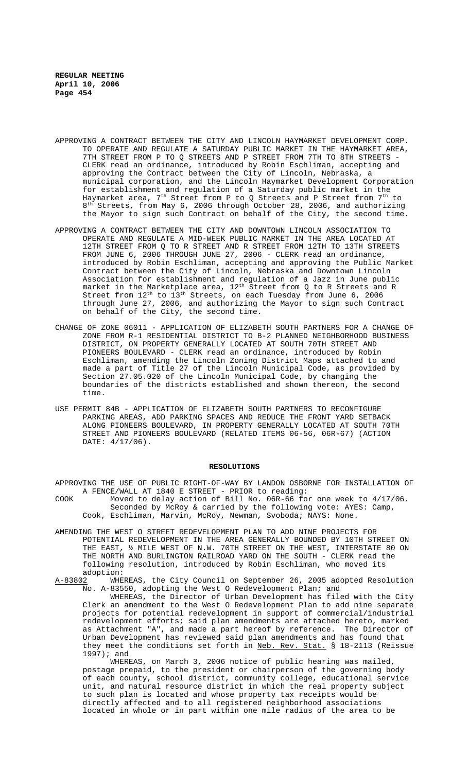- APPROVING A CONTRACT BETWEEN THE CITY AND LINCOLN HAYMARKET DEVELOPMENT CORP. TO OPERATE AND REGULATE A SATURDAY PUBLIC MARKET IN THE HAYMARKET AREA, 7TH STREET FROM P TO Q STREETS AND P STREET FROM 7TH TO 8TH STREETS - CLERK read an ordinance, introduced by Robin Eschliman, accepting and approving the Contract between the City of Lincoln, Nebraska, a municipal corporation, and the Lincoln Haymarket Development Corporation for establishment and regulation of a Saturday public market in the Haymarket area,  $7<sup>th</sup>$  Street from P to Q Streets and P Street from  $7<sup>th</sup>$  to  $8<sup>th</sup>$  Streets, from May 6, 2006 through October 28, 2006, and authorizing the Mayor to sign such Contract on behalf of the City, the second time.
- APPROVING A CONTRACT BETWEEN THE CITY AND DOWNTOWN LINCOLN ASSOCIATION TO OPERATE AND REGULATE A MID-WEEK PUBLIC MARKET IN THE AREA LOCATED AT 12TH STREET FROM Q TO R STREET AND R STREET FROM 12TH TO 13TH STREETS FROM JUNE 6, 2006 THROUGH JUNE 27, 2006 - CLERK read an ordinance, introduced by Robin Eschliman, accepting and approving the Public Market Contract between the City of Lincoln, Nebraska and Downtown Lincoln Association for establishment and regulation of a Jazz in June public market in the Marketplace area,  $12<sup>th</sup>$  Street from Q to R Streets and R Street from  $12^{th}$  to  $13^{th}$  Streets, on each Tuesday from June 6, 2006 through June 27, 2006, and authorizing the Mayor to sign such Contract on behalf of the City, the second time.
- CHANGE OF ZONE 06011 APPLICATION OF ELIZABETH SOUTH PARTNERS FOR A CHANGE OF ZONE FROM R-1 RESIDENTIAL DISTRICT TO B-2 PLANNED NEIGHBORHOOD BUSINESS DISTRICT, ON PROPERTY GENERALLY LOCATED AT SOUTH 70TH STREET AND PIONEERS BOULEVARD - CLERK read an ordinance, introduced by Robin Eschliman, amending the Lincoln Zoning District Maps attached to and made a part of Title 27 of the Lincoln Municipal Code, as provided by Section 27.05.020 of the Lincoln Municipal Code, by changing the boundaries of the districts established and shown thereon, the second time.
- USE PERMIT 84B APPLICATION OF ELIZABETH SOUTH PARTNERS TO RECONFIGURE PARKING AREAS, ADD PARKING SPACES AND REDUCE THE FRONT YARD SETBACK ALONG PIONEERS BOULEVARD, IN PROPERTY GENERALLY LOCATED AT SOUTH 70TH STREET AND PIONEERS BOULEVARD (RELATED ITEMS 06-56, 06R-67) (ACTION DATE: 4/17/06).

#### **RESOLUTIONS**

APPROVING THE USE OF PUBLIC RIGHT-OF-WAY BY LANDON OSBORNE FOR INSTALLATION OF A FENCE/WALL AT 1840 E STREET - PRIOR to reading:

- COOK Moved to delay action of Bill No. 06R-66 for one week to 4/17/06. Seconded by McRoy & carried by the following vote: AYES: Camp, Cook, Eschliman, Marvin, McRoy, Newman, Svoboda; NAYS: None.
- AMENDING THE WEST O STREET REDEVELOPMENT PLAN TO ADD NINE PROJECTS FOR POTENTIAL REDEVELOPMENT IN THE AREA GENERALLY BOUNDED BY 10TH STREET ON THE EAST, ½ MILE WEST OF N.W. 70TH STREET ON THE WEST, INTERSTATE 80 ON THE NORTH AND BURLINGTON RAILROAD YARD ON THE SOUTH - CLERK read the following resolution, introduced by Robin Eschliman, who moved its adoption:<br><u>A-83802</u> WHE
- WHEREAS, the City Council on September 26, 2005 adopted Resolution No. A-83550, adopting the West O Redevelopment Plan; and

WHEREAS, the Director of Urban Development has filed with the City Clerk an amendment to the West O Redevelopment Plan to add nine separate projects for potential redevelopment in support of commercial/industrial redevelopment efforts; said plan amendments are attached hereto, marked<br>as Attachment "A", and made a part hereof by reference. The Director of as Attachment "A", and made a part hereof by reference. Urban Development has reviewed said plan amendments and has found that they meet the conditions set forth in Neb. Rev. Stat. § 18-2113 (Reissue 1997); and

WHEREAS, on March 3, 2006 notice of public hearing was mailed, postage prepaid, to the president or chairperson of the governing body of each county, school district, community college, educational service unit, and natural resource district in which the real property subject to such plan is located and whose property tax receipts would be directly affected and to all registered neighborhood associations located in whole or in part within one mile radius of the area to be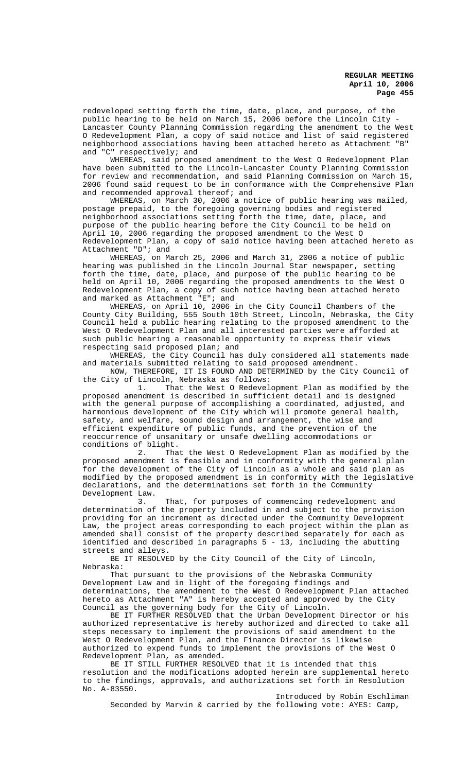redeveloped setting forth the time, date, place, and purpose, of the public hearing to be held on March 15, 2006 before the Lincoln City - Lancaster County Planning Commission regarding the amendment to the West O Redevelopment Plan, a copy of said notice and list of said registered neighborhood associations having been attached hereto as Attachment "B" and "C" respectively; and

WHEREAS, said proposed amendment to the West O Redevelopment Plan have been submitted to the Lincoln-Lancaster County Planning Commission for review and recommendation, and said Planning Commission on March 15, 2006 found said request to be in conformance with the Comprehensive Plan and recommended approval thereof; and

WHEREAS, on March 30, 2006 a notice of public hearing was mailed, postage prepaid, to the foregoing governing bodies and registered neighborhood associations setting forth the time, date, place, and purpose of the public hearing before the City Council to be held on April 10, 2006 regarding the proposed amendment to the West O Redevelopment Plan, a copy of said notice having been attached hereto as Attachment "D"; and

WHEREAS, on March 25, 2006 and March 31, 2006 a notice of public hearing was published in the Lincoln Journal Star newspaper, setting forth the time, date, place, and purpose of the public hearing to be held on April 10, 2006 regarding the proposed amendments to the West O Redevelopment Plan, a copy of such notice having been attached hereto and marked as Attachment "E"; and

WHEREAS, on April 10, 2006 in the City Council Chambers of the County City Building, 555 South 10th Street, Lincoln, Nebraska, the City Council held a public hearing relating to the proposed amendment to the West O Redevelopment Plan and all interested parties were afforded at such public hearing a reasonable opportunity to express their views respecting said proposed plan; and

WHEREAS, the City Council has duly considered all statements made and materials submitted relating to said proposed amendment.

NOW, THEREFORE, IT IS FOUND AND DETERMINED by the City Council of the City of Lincoln, Nebraska as follows:

That the West O Redevelopment Plan as modified by the proposed amendment is described in sufficient detail and is designed with the general purpose of accomplishing a coordinated, adjusted, and harmonious development of the City which will promote general health, safety, and welfare, sound design and arrangement, the wise and efficient expenditure of public funds, and the prevention of the reoccurrence of unsanitary or unsafe dwelling accommodations or conditions of blight.<br>2. Tha

That the West O Redevelopment Plan as modified by the proposed amendment is feasible and in conformity with the general plan for the development of the City of Lincoln as a whole and said plan as modified by the proposed amendment is in conformity with the legislative declarations, and the determinations set forth in the Community

Development Law.<br>3. That, for purposes of commencing redevelopment and determination of the property included in and subject to the provision providing for an increment as directed under the Community Development Law, the project areas corresponding to each project within the plan as amended shall consist of the property described separately for each as identified and described in paragraphs 5 - 13, including the abutting streets and alleys.

BE IT RESOLVED by the City Council of the City of Lincoln, Nebraska:

That pursuant to the provisions of the Nebraska Community Development Law and in light of the foregoing findings and determinations, the amendment to the West O Redevelopment Plan attached hereto as Attachment "A" is hereby accepted and approved by the City Council as the governing body for the City of Lincoln.

BE IT FURTHER RESOLVED that the Urban Development Director or his authorized representative is hereby authorized and directed to take all steps necessary to implement the provisions of said amendment to the West O Redevelopment Plan, and the Finance Director is likewise authorized to expend funds to implement the provisions of the West O Redevelopment Plan, as amended.

BE IT STILL FURTHER RESOLVED that it is intended that this resolution and the modifications adopted herein are supplemental hereto to the findings, approvals, and authorizations set forth in Resolution No. A-83550.

Introduced by Robin Eschliman Seconded by Marvin & carried by the following vote: AYES: Camp,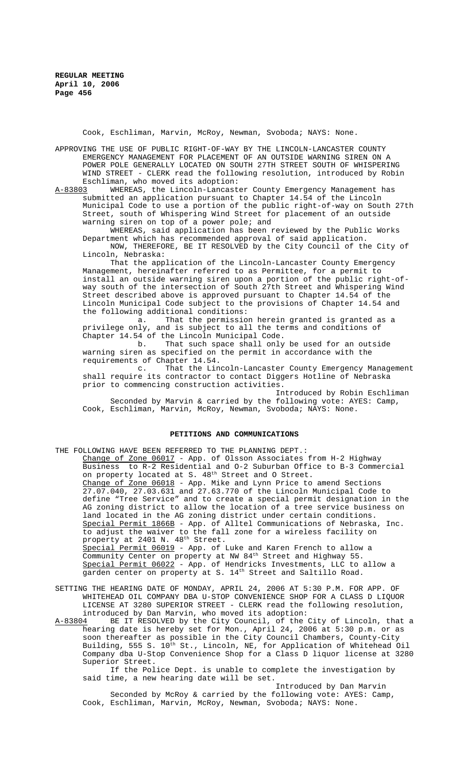Cook, Eschliman, Marvin, McRoy, Newman, Svoboda; NAYS: None.

APPROVING THE USE OF PUBLIC RIGHT-OF-WAY BY THE LINCOLN-LANCASTER COUNTY EMERGENCY MANAGEMENT FOR PLACEMENT OF AN OUTSIDE WARNING SIREN ON A POWER POLE GENERALLY LOCATED ON SOUTH 27TH STREET SOUTH OF WHISPERING WIND STREET - CLERK read the following resolution, introduced by Robin Eschliman, who moved its adoption:<br>A-83803 WHEREAS, the Lincoln-Lancast

WHEREAS, the Lincoln-Lancaster County Emergency Management has submitted an application pursuant to Chapter 14.54 of the Lincoln Municipal Code to use a portion of the public right-of-way on South 27th Street, south of Whispering Wind Street for placement of an outside warning siren on top of a power pole; and

WHEREAS, said application has been reviewed by the Public Works Department which has recommended approval of said application.

NOW, THEREFORE, BE IT RESOLVED by the City Council of the City of Lincoln, Nebraska:

That the application of the Lincoln-Lancaster County Emergency Management, hereinafter referred to as Permittee, for a permit to install an outside warning siren upon a portion of the public right-ofway south of the intersection of South 27th Street and Whispering Wind Street described above is approved pursuant to Chapter 14.54 of the Lincoln Municipal Code subject to the provisions of Chapter 14.54 and the following additional conditions:<br>a. That the permission

That the permission herein granted is granted as a privilege only, and is subject to all the terms and conditions of Chapter 14.54 of the Lincoln Municipal Code.

b. That such space shall only be used for an outside warning siren as specified on the permit in accordance with the requirements of Chapter 14.54.

c. That the Lincoln-Lancaster County Emergency Management shall require its contractor to contact Diggers Hotline of Nebraska prior to commencing construction activities.

Introduced by Robin Eschliman Seconded by Marvin & carried by the following vote: AYES: Camp, Cook, Eschliman, Marvin, McRoy, Newman, Svoboda; NAYS: None.

#### **PETITIONS AND COMMUNICATIONS**

THE FOLLOWING HAVE BEEN REFERRED TO THE PLANNING DEPT.: Change of Zone 06017 - App. of Olsson Associates from H-2 Highway Business to R-2 Residential and O-2 Suburban Office to B-3 Commercial on property located at S. 48<sup>th</sup> Street and O Street. Change of Zone 06018 - App. Mike and Lynn Price to amend Sections 27.07.040, 27.03.631 and 27.63.770 of the Lincoln Municipal Code to define "Tree Service" and to create a special permit designation in the AG zoning district to allow the location of a tree service business on land located in the AG zoning district under certain conditions. Special Permit 1866B - App. of Alltel Communications of Nebraska, Inc. to adjust the waiver to the fall zone for a wireless facility on property at 2401 N. 48<sup>th</sup> Street. Special Permit 06019 - App. of Luke and Karen French to allow a Community Center on property at NW 84<sup>th</sup> Street and Highway 55. Special Permit 06022 - App. of Hendricks Investments, LLC to allow a garden center on property at S. 14<sup>th</sup> Street and Saltillo Road.

- SETTING THE HEARING DATE OF MONDAY, APRIL 24, 2006 AT 5:30 P.M. FOR APP. OF WHITEHEAD OIL COMPANY DBA U-STOP CONVENIENCE SHOP FOR A CLASS D LIQUOR LICENSE AT 3280 SUPERIOR STREET - CLERK read the following resolution, introduced by Dan Marvin, who moved its adoption:
- A-83804 BE IT RESOLVED by the City Council, of the City of Lincoln, that a hearing date is hereby set for Mon., April 24, 2006 at 5:30 p.m. or as soon thereafter as possible in the City Council Chambers, County-City Building, 555 S. 10<sup>th</sup> St., Lincoln, NE, for Application of Whitehead Oil Company dba U-Stop Convenience Shop for a Class D liquor license at 3280 Superior Street.

If the Police Dept. is unable to complete the investigation by said time, a new hearing date will be set.

Introduced by Dan Marvin Seconded by McRoy & carried by the following vote: AYES: Camp, Cook, Eschliman, Marvin, McRoy, Newman, Svoboda; NAYS: None.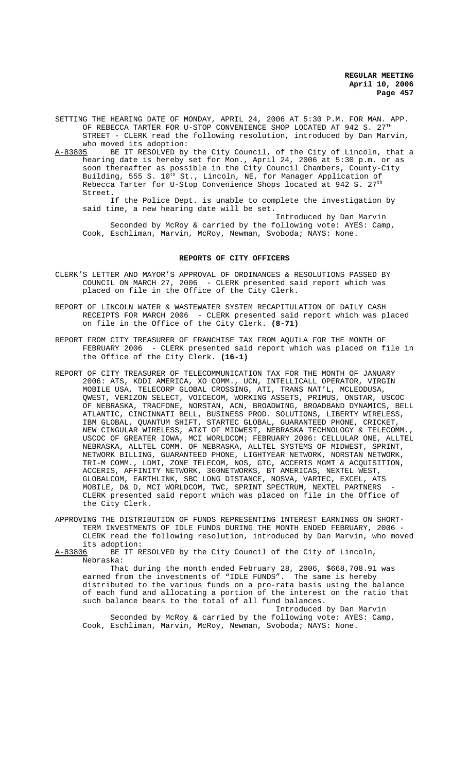SETTING THE HEARING DATE OF MONDAY, APRIL 24, 2006 AT 5:30 P.M. FOR MAN. APP. OF REBECCA TARTER FOR U-STOP CONVENIENCE SHOP LOCATED AT 942 S.  $27^{\text{TH}}$ STREET - CLERK read the following resolution, introduced by Dan Marvin, who moved its adoption:<br>A-83805 BE IT RESOLVED by

BE IT RESOLVED by the City Council, of the City of Lincoln, that a hearing date is hereby set for Mon., April 24, 2006 at 5:30 p.m. or as soon thereafter as possible in the City Council Chambers, County-City Building, 555 S. 10<sup>th</sup> St., Lincoln, NE, for Manager Application of Rebecca Tarter for U-Stop Convenience Shops located at 942 S.  $27^{\rm th}$ Street.

If the Police Dept. is unable to complete the investigation by said time, a new hearing date will be set.

Introduced by Dan Marvin

Seconded by McRoy & carried by the following vote: AYES: Camp, Cook, Eschliman, Marvin, McRoy, Newman, Svoboda; NAYS: None.

### **REPORTS OF CITY OFFICERS**

- CLERK'S LETTER AND MAYOR'S APPROVAL OF ORDINANCES & RESOLUTIONS PASSED BY COUNCIL ON MARCH 27, 2006 - CLERK presented said report which was placed on file in the Office of the City Clerk.
- REPORT OF LINCOLN WATER & WASTEWATER SYSTEM RECAPITULATION OF DAILY CASH RECEIPTS FOR MARCH 2006 - CLERK presented said report which was placed on file in the Office of the City Clerk. **(8-71)**
- REPORT FROM CITY TREASURER OF FRANCHISE TAX FROM AQUILA FOR THE MONTH OF FEBRUARY 2006 - CLERK presented said report which was placed on file in the Office of the City Clerk. **(16-1)**
- REPORT OF CITY TREASURER OF TELECOMMUNICATION TAX FOR THE MONTH OF JANUARY 2006: ATS, KDDI AMERICA, XO COMM., UCN, INTELLICALL OPERATOR, VIRGIN MOBILE USA, TELECORP GLOBAL CROSSING, ATI, TRANS NAT'L, MCLEODUSA, QWEST, VERIZON SELECT, VOICECOM, WORKING ASSETS, PRIMUS, ONSTAR, USCOC OF NEBRASKA, TRACFONE, NORSTAN, ACN, BROADWING, BROADBAND DYNAMICS, BELL ATLANTIC, CINCINNATI BELL, BUSINESS PROD. SOLUTIONS, LIBERTY WIRELESS, IBM GLOBAL, QUANTUM SHIFT, STARTEC GLOBAL, GUARANTEED PHONE, CRICKET, NEW CINGULAR WIRELESS, AT&T OF MIDWEST, NEBRASKA TECHNOLOGY & TELECOMM., USCOC OF GREATER IOWA, MCI WORLDCOM; FEBRUARY 2006: CELLULAR ONE, ALLTEL NEBRASKA, ALLTEL COMM. OF NEBRASKA, ALLTEL SYSTEMS OF MIDWEST, SPRINT, NETWORK BILLING, GUARANTEED PHONE, LIGHTYEAR NETWORK, NORSTAN NETWORK, TRI-M COMM., LDMI, ZONE TELECOM, NOS, GTC, ACCERIS MGMT & ACQUISITION, ACCERIS, AFFINITY NETWORK, 360NETWORKS, BT AMERICAS, NEXTEL WEST, GLOBALCOM, EARTHLINK, SBC LONG DISTANCE, NOSVA, VARTEC, EXCEL, ATS MOBILE, D& D, MCI WORLDCOM, TWC, SPRINT SPECTRUM, NEXTEL PARTNERS - CLERK presented said report which was placed on file in the Office of the City Clerk.
- APPROVING THE DISTRIBUTION OF FUNDS REPRESENTING INTEREST EARNINGS ON SHORT-TERM INVESTMENTS OF IDLE FUNDS DURING THE MONTH ENDED FEBRUARY, 2006 - CLERK read the following resolution, introduced by Dan Marvin, who moved its adoption:<br><u>A-83806</u> BE IT R
- BE IT RESOLVED by the City Council of the City of Lincoln, Nebraska:

That during the month ended February 28, 2006, \$668,708.91 was earned from the investments of "IDLE FUNDS". The same is hereby distributed to the various funds on a pro-rata basis using the balance of each fund and allocating a portion of the interest on the ratio that such balance bears to the total of all fund balances. Introduced by Dan Marvin

Seconded by McRoy & carried by the following vote: AYES: Camp, Cook, Eschliman, Marvin, McRoy, Newman, Svoboda; NAYS: None.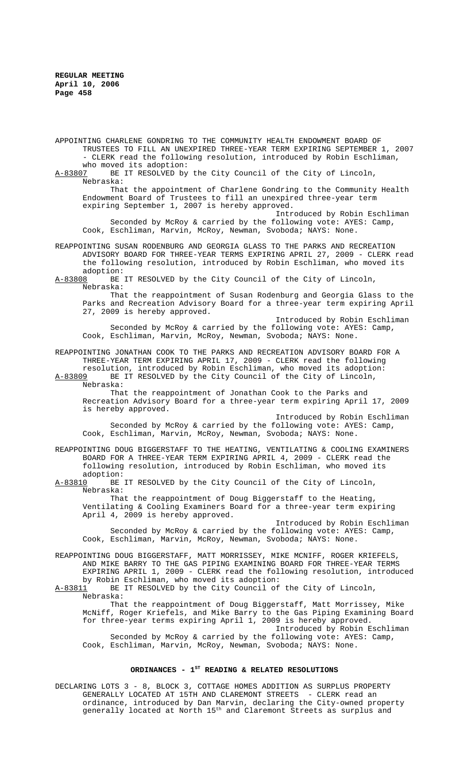APPOINTING CHARLENE GONDRING TO THE COMMUNITY HEALTH ENDOWMENT BOARD OF TRUSTEES TO FILL AN UNEXPIRED THREE-YEAR TERM EXPIRING SEPTEMBER 1, 2007 - CLERK read the following resolution, introduced by Robin Eschliman,

who moved its adoption:<br>A-83807 BE IT RESOLVED by BE IT RESOLVED by the City Council of the City of Lincoln, Nebraska:

That the appointment of Charlene Gondring to the Community Health Endowment Board of Trustees to fill an unexpired three-year term expiring September 1, 2007 is hereby approved.

Introduced by Robin Eschliman Seconded by McRoy & carried by the following vote: AYES: Camp, Cook, Eschliman, Marvin, McRoy, Newman, Svoboda; NAYS: None.

REAPPOINTING SUSAN RODENBURG AND GEORGIA GLASS TO THE PARKS AND RECREATION ADVISORY BOARD FOR THREE-YEAR TERMS EXPIRING APRIL 27, 2009 - CLERK read the following resolution, introduced by Robin Eschliman, who moved its

adoption:<br><u>A-83808</u> BE BE IT RESOLVED by the City Council of the City of Lincoln, Nebraska:

That the reappointment of Susan Rodenburg and Georgia Glass to the Parks and Recreation Advisory Board for a three-year term expiring April 27, 2009 is hereby approved.

Introduced by Robin Eschliman Seconded by McRoy & carried by the following vote: AYES: Camp, Cook, Eschliman, Marvin, McRoy, Newman, Svoboda; NAYS: None.

REAPPOINTING JONATHAN COOK TO THE PARKS AND RECREATION ADVISORY BOARD FOR A THREE-YEAR TERM EXPIRING APRIL 17, 2009 - CLERK read the following resolution, introduced by Robin Eschliman, who moved its adoption:<br>A-83809 BE IT RESOLVED by the City Council of the City of Lincoln.

BE IT RESOLVED by the City Council of the City of Lincoln, Nebraska:

That the reappointment of Jonathan Cook to the Parks and Recreation Advisory Board for a three-year term expiring April 17, 2009 is hereby approved.

Introduced by Robin Eschliman Seconded by McRoy & carried by the following vote: AYES: Camp, Cook, Eschliman, Marvin, McRoy, Newman, Svoboda; NAYS: None.

REAPPOINTING DOUG BIGGERSTAFF TO THE HEATING, VENTILATING & COOLING EXAMINERS BOARD FOR A THREE-YEAR TERM EXPIRING APRIL 4, 2009 - CLERK read the following resolution, introduced by Robin Eschliman, who moved its

adoption:<br>A-83810 BE BE IT RESOLVED by the City Council of the City of Lincoln, Nebraska:

That the reappointment of Doug Biggerstaff to the Heating, Ventilating & Cooling Examiners Board for a three-year term expiring April 4, 2009 is hereby approved.

Introduced by Robin Eschliman Seconded by McRoy & carried by the following vote: AYES: Camp, Cook, Eschliman, Marvin, McRoy, Newman, Svoboda; NAYS: None.

REAPPOINTING DOUG BIGGERSTAFF, MATT MORRISSEY, MIKE MCNIFF, ROGER KRIEFELS, AND MIKE BARRY TO THE GAS PIPING EXAMINING BOARD FOR THREE-YEAR TERMS EXPIRING APRIL 1, 2009 - CLERK read the following resolution, introduced by Robin Eschliman, who moved its adoption:

A-83811 BE IT RESOLVED by the City Council of the City of Lincoln, Nebraska:

That the reappointment of Doug Biggerstaff, Matt Morrissey, Mike McNiff, Roger Kriefels, and Mike Barry to the Gas Piping Examining Board for three-year terms expiring April 1, 2009 is hereby approved. Introduced by Robin Eschliman

Seconded by McRoy & carried by the following vote: AYES: Camp, Cook, Eschliman, Marvin, McRoy, Newman, Svoboda; NAYS: None.

## ORDINANCES - 1<sup>st</sup> READING & RELATED RESOLUTIONS

DECLARING LOTS 3 - 8, BLOCK 3, COTTAGE HOMES ADDITION AS SURPLUS PROPERTY GENERALLY LOCATED AT 15TH AND CLAREMONT STREETS - CLERK read an ordinance, introduced by Dan Marvin, declaring the City-owned property generally located at North 15<sup>th</sup> and Claremont Streets as surplus and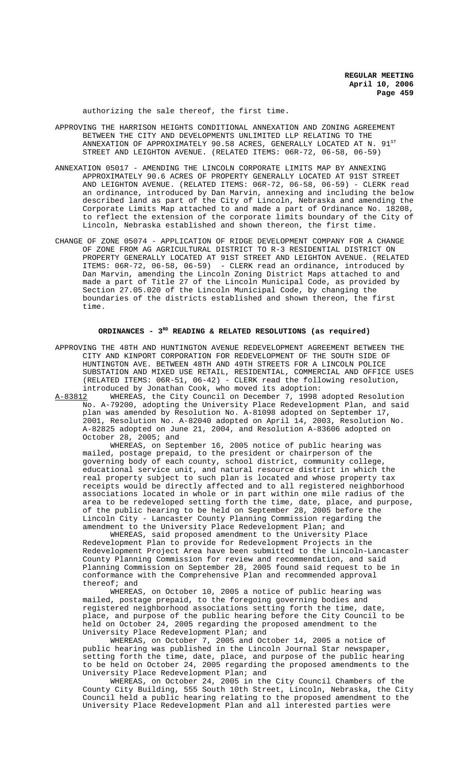authorizing the sale thereof, the first time.

- APPROVING THE HARRISON HEIGHTS CONDITIONAL ANNEXATION AND ZONING AGREEMENT BETWEEN THE CITY AND DEVELOPMENTS UNLIMITED LLP RELATING TO THE ANNEXATION OF APPROXIMATELY 90.58 ACRES, GENERALLY LOCATED AT N. STREET AND LEIGHTON AVENUE. (RELATED ITEMS: 06R-72, 06-58, 06-59)
- ANNEXATION 05017 AMENDING THE LINCOLN CORPORATE LIMITS MAP BY ANNEXING APPROXIMATELY 90.6 ACRES OF PROPERTY GENERALLY LOCATED AT 91ST STREET AND LEIGHTON AVENUE. (RELATED ITEMS: 06R-72, 06-58, 06-59) - CLERK read an ordinance, introduced by Dan Marvin, annexing and including the below described land as part of the City of Lincoln, Nebraska and amending the Corporate Limits Map attached to and made a part of Ordinance No. 18208, to reflect the extension of the corporate limits boundary of the City of Lincoln, Nebraska established and shown thereon, the first time.
- CHANGE OF ZONE 05074 APPLICATION OF RIDGE DEVELOPMENT COMPANY FOR A CHANGE OF ZONE FROM AG AGRICULTURAL DISTRICT TO R-3 RESIDENTIAL DISTRICT ON PROPERTY GENERALLY LOCATED AT 91ST STREET AND LEIGHTON AVENUE. (RELATED ITEMS: 06R-72, 06-58, 06-59) - CLERK read an ordinance, introduced by Dan Marvin, amending the Lincoln Zoning District Maps attached to and made a part of Title 27 of the Lincoln Municipal Code, as provided by Section 27.05.020 of the Lincoln Municipal Code, by changing the boundaries of the districts established and shown thereon, the first time.

#### **ORDINANCES - 3RD READING & RELATED RESOLUTIONS (as required)**

APPROVING THE 48TH AND HUNTINGTON AVENUE REDEVELOPMENT AGREEMENT BETWEEN THE CITY AND KINPORT CORPORATION FOR REDEVELOPMENT OF THE SOUTH SIDE OF HUNTINGTON AVE. BETWEEN 48TH AND 49TH STREETS FOR A LINCOLN POLICE SUBSTATION AND MIXED USE RETAIL, RESIDENTIAL, COMMERCIAL AND OFFICE USES (RELATED ITEMS: 06R-51, 06-42) - CLERK read the following resolution, introduced by Jonathan Cook, who moved its adoption:<br>A-83812 WHEREAS, the City Council on December 7, 1998

WHEREAS, the City Council on December 7, 1998 adopted Resolution No. A-79200, adopting the University Place Redevelopment Plan, and said plan was amended by Resolution No. A-81098 adopted on September 17, 2001, Resolution No. A-82040 adopted on April 14, 2003, Resolution No. A-82825 adopted on June 21, 2004, and Resolution A-83606 adopted on October  $28, 2005;$  and

WHEREAS, on September 16, 2005 notice of public hearing was mailed, postage prepaid, to the president or chairperson of the governing body of each county, school district, community college, educational service unit, and natural resource district in which the real property subject to such plan is located and whose property tax receipts would be directly affected and to all registered neighborhood associations located in whole or in part within one mile radius of the area to be redeveloped setting forth the time, date, place, and purpose, of the public hearing to be held on September 28, 2005 before the Lincoln City - Lancaster County Planning Commission regarding the amendment to the University Place Redevelopment Plan; and

WHEREAS, said proposed amendment to the University Place Redevelopment Plan to provide for Redevelopment Projects in the Redevelopment Project Area have been submitted to the Lincoln-Lancaster County Planning Commission for review and recommendation, and said Planning Commission on September 28, 2005 found said request to be in conformance with the Comprehensive Plan and recommended approval thereof; and

WHEREAS, on October 10, 2005 a notice of public hearing was mailed, postage prepaid, to the foregoing governing bodies and registered neighborhood associations setting forth the time, date, place, and purpose of the public hearing before the City Council to be held on October 24, 2005 regarding the proposed amendment to the University Place Redevelopment Plan; and

WHEREAS, on October 7, 2005 and October 14, 2005 a notice of public hearing was published in the Lincoln Journal Star newspaper, setting forth the time, date, place, and purpose of the public hearing to be held on October 24, 2005 regarding the proposed amendments to the University Place Redevelopment Plan; and

WHEREAS, on October 24, 2005 in the City Council Chambers of the County City Building, 555 South 10th Street, Lincoln, Nebraska, the City Council held a public hearing relating to the proposed amendment to the University Place Redevelopment Plan and all interested parties were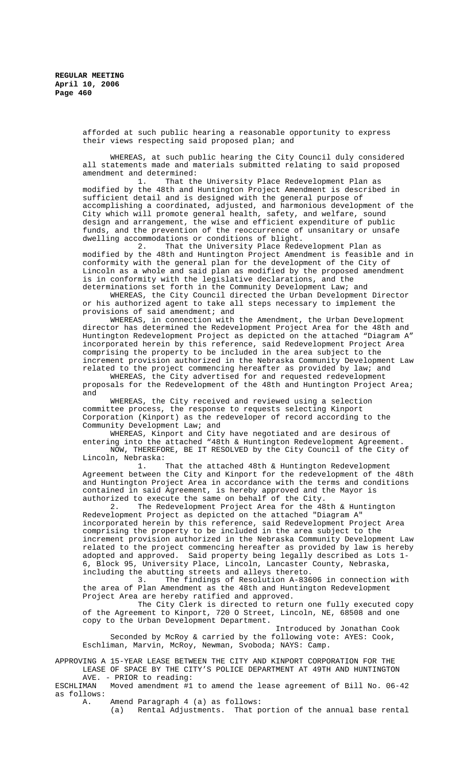afforded at such public hearing a reasonable opportunity to express their views respecting said proposed plan; and

WHEREAS, at such public hearing the City Council duly considered all statements made and materials submitted relating to said proposed amendment and determined:<br>1. That the

That the University Place Redevelopment Plan as modified by the 48th and Huntington Project Amendment is described in sufficient detail and is designed with the general purpose of accomplishing a coordinated, adjusted, and harmonious development of the City which will promote general health, safety, and welfare, sound design and arrangement, the wise and efficient expenditure of public funds, and the prevention of the reoccurrence of unsanitary or unsafe dwelling accommodations or conditions of blight.

2. That the University Place Redevelopment Plan as modified by the 48th and Huntington Project Amendment is feasible and in conformity with the general plan for the development of the City of Lincoln as a whole and said plan as modified by the proposed amendment is in conformity with the legislative declarations, and the determinations set forth in the Community Development Law; and

WHEREAS, the City Council directed the Urban Development Director or his authorized agent to take all steps necessary to implement the provisions of said amendment; and

WHEREAS, in connection with the Amendment, the Urban Development director has determined the Redevelopment Project Area for the 48th and Huntington Redevelopment Project as depicted on the attached "Diagram A" incorporated herein by this reference, said Redevelopment Project Area comprising the property to be included in the area subject to the increment provision authorized in the Nebraska Community Development Law related to the project commencing hereafter as provided by law; and

WHEREAS, the City advertised for and requested redevelopment proposals for the Redevelopment of the 48th and Huntington Project Area; and

WHEREAS, the City received and reviewed using a selection committee process, the response to requests selecting Kinport Corporation (Kinport) as the redeveloper of record according to the Community Development Law; and

WHEREAS, Kinport and City have negotiated and are desirous of entering into the attached "48th & Huntington Redevelopment Agreement. NOW, THEREFORE, BE IT RESOLVED by the City Council of the City of Lincoln, Nebraska:

1. That the attached 48th & Huntington Redevelopment Agreement between the City and Kinport for the redevelopment of the 48th and Huntington Project Area in accordance with the terms and conditions contained in said Agreement, is hereby approved and the Mayor is authorized to execute the same on behalf of the City.

2. The Redevelopment Project Area for the 48th & Huntington Redevelopment Project as depicted on the attached "Diagram A" incorporated herein by this reference, said Redevelopment Project Area comprising the property to be included in the area subject to the increment provision authorized in the Nebraska Community Development Law related to the project commencing hereafter as provided by law is hereby adopted and approved. Said property being legally described as Lots 1- 6, Block 95, University Place, Lincoln, Lancaster County, Nebraska, including the abutting streets and alleys thereto.

3. The findings of Resolution A-83606 in connection with the area of Plan Amendment as the 48th and Huntington Redevelopment Project Area are hereby ratified and approved.

The City Clerk is directed to return one fully executed copy of the Agreement to Kinport, 720 O Street, Lincoln, NE, 68508 and one copy to the Urban Development Department.

Introduced by Jonathan Cook Seconded by McRoy & carried by the following vote: AYES: Cook, Eschliman, Marvin, McRoy, Newman, Svoboda; NAYS: Camp.

APPROVING A 15-YEAR LEASE BETWEEN THE CITY AND KINPORT CORPORATION FOR THE LEASE OF SPACE BY THE CITY'S POLICE DEPARTMENT AT 49TH AND HUNTINGTON

AVE. - PRIOR to reading:<br>ESCHLIMAN Moved amendment #1 Moved amendment #1 to amend the lease agreement of Bill No. 06-42 as follows:

A. Amend Paragraph 4 (a) as follows:

(a) Rental Adjustments. That portion of the annual base rental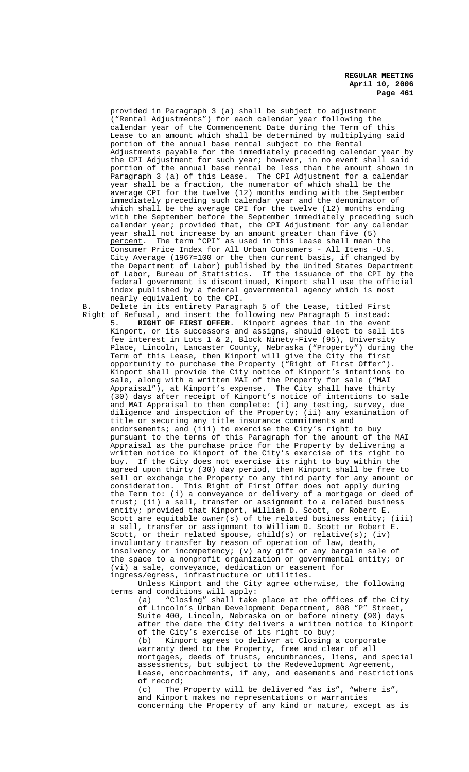provided in Paragraph 3 (a) shall be subject to adjustment ("Rental Adjustments") for each calendar year following the calendar year of the Commencement Date during the Term of this Lease to an amount which shall be determined by multiplying said portion of the annual base rental subject to the Rental Adjustments payable for the immediately preceding calendar year by the CPI Adjustment for such year; however, in no event shall said portion of the annual base rental be less than the amount shown in Paragraph 3 (a) of this Lease. The CPI Adjustment for a calendar year shall be a fraction, the numerator of which shall be the average CPI for the twelve (12) months ending with the September immediately preceding such calendar year and the denominator of which shall be the average CPI for the twelve (12) months ending with the September before the September immediately preceding such calendar year; provided that, the CPI Adjustment for any calendar year shall not increase by an amount greater than five (5) percent. The term "CPI" as used in this Lease shall mean the Consumer Price Index for All Urban Consumers - All Items -U.S. City Average (1967=100 or the then current basis, if changed by the Department of Labor) published by the United States Department of Labor, Bureau of Statistics. If the issuance of the CPI by the federal government is discontinued, Kinport shall use the official index published by a federal governmental agency which is most nearly equivalent to the CPI.

- B. Delete in its entirety Paragraph 5 of the Lease, titled First Right of Refusal, and insert the following new Paragraph 5 instead:
	- 5. **RIGHT OF FIRST OFFER**. Kinport agrees that in the event Kinport, or its successors and assigns, should elect to sell its fee interest in Lots 1 & 2, Block Ninety-Five (95), University Place, Lincoln, Lancaster County, Nebraska ("Property") during the Term of this Lease, then Kinport will give the City the first opportunity to purchase the Property ("Right of First Offer"). Kinport shall provide the City notice of Kinport's intentions to sale, along with a written MAI of the Property for sale ("MAI Appraisal"), at Kinport's expense. The City shall have thirty (30) days after receipt of Kinport's notice of intentions to sale and MAI Appraisal to then complete: (i) any testing, survey, due diligence and inspection of the Property; (ii) any examination of title or securing any title insurance commitments and endorsements; and (iii) to exercise the City's right to buy pursuant to the terms of this Paragraph for the amount of the MAI Appraisal as the purchase price for the Property by delivering a written notice to Kinport of the City's exercise of its right to buy. If the City does not exercise its right to buy within the agreed upon thirty (30) day period, then Kinport shall be free to sell or exchange the Property to any third party for any amount or consideration. This Right of First Offer does not apply during the Term to: (i) a conveyance or delivery of a mortgage or deed of trust; (ii) a sell, transfer or assignment to a related business entity; provided that Kinport, William D. Scott, or Robert E. Scott are equitable owner(s) of the related business entity; (iii) a sell, transfer or assignment to William D. Scott or Robert E. Scott, or their related spouse, child(s) or relative(s); (iv) involuntary transfer by reason of operation of law, death, insolvency or incompetency; (v) any gift or any bargain sale of the space to a nonprofit organization or governmental entity; or (vi) a sale, conveyance, dedication or easement for ingress/egress, infrastructure or utilities.

Unless Kinport and the City agree otherwise, the following terms and conditions will apply:

(a) "Closing" shall take place at the offices of the City of Lincoln's Urban Development Department, 808 "P" Street, Suite 400, Lincoln, Nebraska on or before ninety (90) days after the date the City delivers a written notice to Kinport of the City's exercise of its right to buy; (b) Kinport agrees to deliver at Closing a corporate warranty deed to the Property, free and clear of all mortgages, deeds of trusts, encumbrances, liens, and special assessments, but subject to the Redevelopment Agreement, Lease, encroachments, if any, and easements and restrictions of record; (c) The Property will be delivered "as is", "where is",

and Kinport makes no representations or warranties concerning the Property of any kind or nature, except as is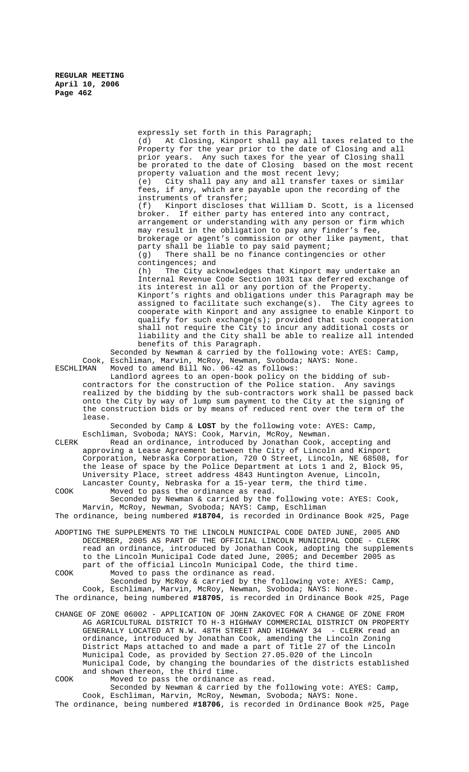expressly set forth in this Paragraph; (d) At Closing, Kinport shall pay all taxes related to the Property for the year prior to the date of Closing and all prior years. Any such taxes for the year of Closing shall be prorated to the date of Closing based on the most recent property valuation and the most recent levy; (e) City shall pay any and all transfer taxes or similar fees, if any, which are payable upon the recording of the instruments of transfer;<br>(f) Kinport discloses Kinport discloses that William D. Scott, is a licensed broker. If either party has entered into any contract, arrangement or understanding with any person or firm which may result in the obligation to pay any finder's fee, brokerage or agent's commission or other like payment, that party shall be liable to pay said payment; (g) There shall be no finance contingencies or other contingences; and (h) The City acknowledges that Kinport may undertake an Internal Revenue Code Section 1031 tax deferred exchange of its interest in all or any portion of the Property. Kinport's rights and obligations under this Paragraph may be assigned to facilitate such exchange(s). The City agrees to cooperate with Kinport and any assignee to enable Kinport to qualify for such exchange(s); provided that such cooperation shall not require the City to incur any additional costs or liability and the City shall be able to realize all intended benefits of this Paragraph. Seconded by Newman & carried by the following vote: AYES: Camp, Cook, Eschliman, Marvin, McRoy, Newman, Svoboda; NAYS: None. ESCHLIMAN Moved to amend Bill No. 06-42 as follows: Landlord agrees to an open-book policy on the bidding of subcontractors for the construction of the Police station. Any savings realized by the bidding by the sub-contractors work shall be passed back onto the City by way of lump sum payment to the City at the signing of the construction bids or by means of reduced rent over the term of the lease. Seconded by Camp & **LOST** by the following vote: AYES: Camp, Eschliman, Svoboda; NAYS: Cook, Marvin, McRoy, Newman. CLERK Read an ordinance, introduced by Jonathan Cook, accepting and approving a Lease Agreement between the City of Lincoln and Kinport Corporation, Nebraska Corporation, 720 O Street, Lincoln, NE 68508, for the lease of space by the Police Department at Lots 1 and 2, Block 95, University Place, street address 4843 Huntington Avenue, Lincoln, Lancaster County, Nebraska for a 15-year term, the third time. COOK Moved to pass the ordinance as read. Seconded by Newman & carried by the following vote: AYES: Cook, Marvin, McRoy, Newman, Svoboda; NAYS: Camp, Eschliman The ordinance, being numbered **#18704**, is recorded in Ordinance Book #25, Page ADOPTING THE SUPPLEMENTS TO THE LINCOLN MUNICIPAL CODE DATED JUNE, 2005 AND

DECEMBER, 2005 AS PART OF THE OFFICIAL LINCOLN MUNICIPAL CODE - CLERK read an ordinance, introduced by Jonathan Cook, adopting the supplements to the Lincoln Municipal Code dated June, 2005; and December 2005 as part of the official Lincoln Municipal Code, the third time. COOK Moved to pass the ordinance as read.

Seconded by McRoy & carried by the following vote: AYES: Camp, Cook, Eschliman, Marvin, McRoy, Newman, Svoboda; NAYS: None. The ordinance, being numbered **#18705**, is recorded in Ordinance Book #25, Page

CHANGE OF ZONE 06002 - APPLICATION OF JOHN ZAKOVEC FOR A CHANGE OF ZONE FROM AG AGRICULTURAL DISTRICT TO H-3 HIGHWAY COMMERCIAL DISTRICT ON PROPERTY GENERALLY LOCATED AT N.W. 48TH STREET AND HIGHWAY 34 - CLERK read an ordinance, introduced by Jonathan Cook, amending the Lincoln Zoning District Maps attached to and made a part of Title 27 of the Lincoln Municipal Code, as provided by Section 27.05.020 of the Lincoln Municipal Code, by changing the boundaries of the districts established and shown thereon, the third time. COOK Moved to pass the ordinance as read.

Seconded by Newman & carried by the following vote: AYES: Camp, Cook, Eschliman, Marvin, McRoy, Newman, Svoboda; NAYS: None.

The ordinance, being numbered **#18706**, is recorded in Ordinance Book #25, Page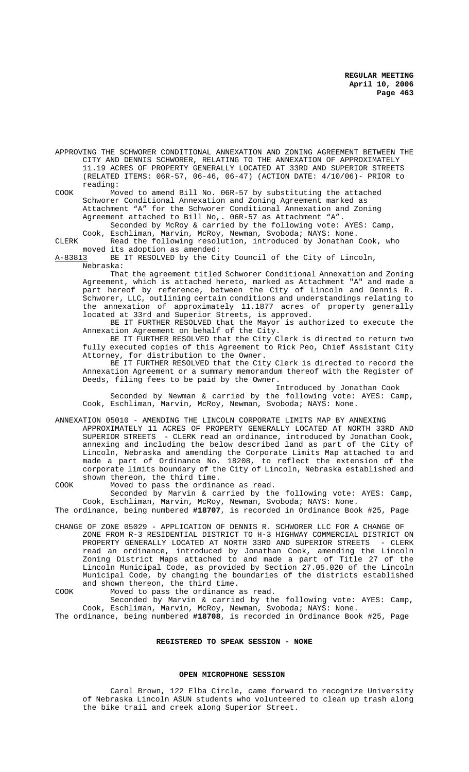APPROVING THE SCHWORER CONDITIONAL ANNEXATION AND ZONING AGREEMENT BETWEEN THE CITY AND DENNIS SCHWORER, RELATING TO THE ANNEXATION OF APPROXIMATELY 11.19 ACRES OF PROPERTY GENERALLY LOCATED AT 33RD AND SUPERIOR STREETS (RELATED ITEMS: 06R-57, 06-46, 06-47) (ACTION DATE: 4/10/06)- PRIOR to reading:

COOK Moved to amend Bill No. 06R-57 by substituting the attached Schworer Conditional Annexation and Zoning Agreement marked as Attachment "A" for the Schworer Conditional Annexation and Zoning Agreement attached to Bill No,. 06R-57 as Attachment "A". Seconded by McRoy & carried by the following vote: AYES: Camp,

Cook, Eschliman, Marvin, McRoy, Newman, Svoboda; NAYS: None.

CLERK Read the following resolution, introduced by Jonathan Cook, who moved its adoption as amended:<br>A-83813 BE IT RESOLVED by the Ci

BE IT RESOLVED by the City Council of the City of Lincoln, Nebraska:

That the agreement titled Schworer Conditional Annexation and Zoning Agreement, which is attached hereto, marked as Attachment "A" and made a part hereof by reference, between the City of Lincoln and Dennis R. Schworer, LLC, outlining certain conditions and understandings relating to the annexation of approximately 11.1877 acres of property generally located at 33rd and Superior Streets, is approved.

BE IT FURTHER RESOLVED that the Mayor is authorized to execute the Annexation Agreement on behalf of the City.

BE IT FURTHER RESOLVED that the City Clerk is directed to return two fully executed copies of this Agreement to Rick Peo, Chief Assistant City Attorney, for distribution to the Owner.

BE IT FURTHER RESOLVED that the City Clerk is directed to record the Annexation Agreement or a summary memorandum thereof with the Register of Deeds, filing fees to be paid by the Owner.

Introduced by Jonathan Cook

Seconded by Newman & carried by the following vote: AYES: Camp, Cook, Eschliman, Marvin, McRoy, Newman, Svoboda; NAYS: None.

ANNEXATION 05010 - AMENDING THE LINCOLN CORPORATE LIMITS MAP BY ANNEXING

APPROXIMATELY 11 ACRES OF PROPERTY GENERALLY LOCATED AT NORTH 33RD AND SUPERIOR STREETS - CLERK read an ordinance, introduced by Jonathan Cook, annexing and including the below described land as part of the City of Lincoln, Nebraska and amending the Corporate Limits Map attached to and made a part of Ordinance No. 18208, to reflect the extension of the corporate limits boundary of the City of Lincoln, Nebraska established and shown thereon, the third time.

COOK Moved to pass the ordinance as read. Seconded by Marvin & carried by the following vote: AYES: Camp,

Cook, Eschliman, Marvin, McRoy, Newman, Svoboda; NAYS: None. The ordinance, being numbered **#18707**, is recorded in Ordinance Book #25, Page

CHANGE OF ZONE 05029 - APPLICATION OF DENNIS R. SCHWORER LLC FOR A CHANGE OF ZONE FROM R-3 RESIDENTIAL DISTRICT TO H-3 HIGHWAY COMMERCIAL DISTRICT ON PROPERTY GENERALLY LOCATED AT NORTH 33RD AND SUPERIOR STREETS - CLERK read an ordinance, introduced by Jonathan Cook, amending the Lincoln Zoning District Maps attached to and made a part of Title 27 of the Lincoln Municipal Code, as provided by Section 27.05.020 of the Lincoln Municipal Code, by changing the boundaries of the districts established and shown thereon, the third time.

COOK Moved to pass the ordinance as read.

Seconded by Marvin & carried by the following vote: AYES: Camp, Cook, Eschliman, Marvin, McRoy, Newman, Svoboda; NAYS: None.

The ordinance, being numbered **#18708**, is recorded in Ordinance Book #25, Page

## **REGISTERED TO SPEAK SESSION - NONE**

## **OPEN MICROPHONE SESSION**

Carol Brown, 122 Elba Circle, came forward to recognize University of Nebraska Lincoln ASUN students who volunteered to clean up trash along the bike trail and creek along Superior Street.